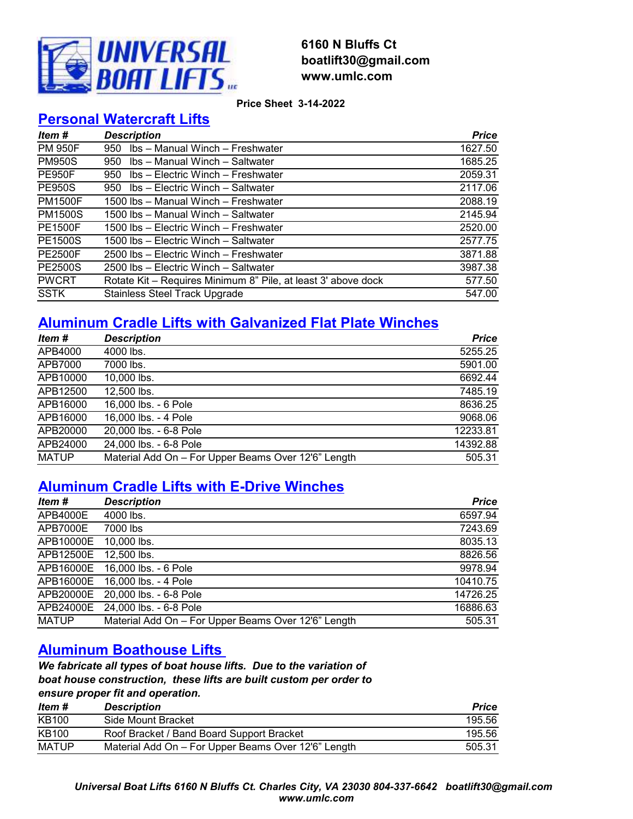

### **6160 N Bluffs Ct boatlift30@gmail.com www.umlc.com**

**Price Sheet 3-14-2022**

### **Personal Watercraft Lifts**

| Item #         | <b>Description</b>                                            | <b>Price</b> |
|----------------|---------------------------------------------------------------|--------------|
| <b>PM 950F</b> | Ibs - Manual Winch - Freshwater<br>950                        | 1627.50      |
| <b>PM950S</b>  | Ibs - Manual Winch - Saltwater<br>950                         | 1685.25      |
| <b>PE950F</b>  | Ibs - Electric Winch - Freshwater<br>950                      | 2059.31      |
| <b>PE950S</b>  | Ibs - Electric Winch - Saltwater<br>950                       | 2117.06      |
| <b>PM1500F</b> | 1500 lbs – Manual Winch – Freshwater                          | 2088.19      |
| <b>PM1500S</b> | 1500 lbs – Manual Winch – Saltwater                           | 2145.94      |
| <b>PE1500F</b> | 1500 lbs - Electric Winch - Freshwater                        | 2520.00      |
| <b>PE1500S</b> | 1500 lbs – Electric Winch – Saltwater                         | 2577.75      |
| <b>PE2500F</b> | 2500 lbs - Electric Winch - Freshwater                        | 3871.88      |
| <b>PE2500S</b> | 2500 lbs - Electric Winch - Saltwater                         | 3987.38      |
| <b>PWCRT</b>   | Rotate Kit - Requires Minimum 8" Pile, at least 3' above dock | 577.50       |
| <b>SSTK</b>    | <b>Stainless Steel Track Upgrade</b>                          | 547.00       |

## **Aluminum Cradle Lifts with Galvanized Flat Plate Winches**

| Item #       | <b>Description</b>                                  | <b>Price</b> |
|--------------|-----------------------------------------------------|--------------|
| APB4000      | 4000 lbs.                                           | 5255.25      |
| APB7000      | 7000 lbs.                                           | 5901.00      |
| APB10000     | 10,000 lbs.                                         | 6692.44      |
| APB12500     | 12,500 lbs.                                         | 7485.19      |
| APB16000     | 16,000 lbs. - 6 Pole                                | 8636.25      |
| APB16000     | 16,000 lbs. - 4 Pole                                | 9068.06      |
| APB20000     | 20,000 lbs. - 6-8 Pole                              | 12233.81     |
| APB24000     | 24,000 lbs. - 6-8 Pole                              | 14392.88     |
| <b>MATUP</b> | Material Add On - For Upper Beams Over 12'6" Length | 505.31       |

### **Aluminum Cradle Lifts with E-Drive Winches**

| Item#        | <b>Description</b>                                  | <b>Price</b> |
|--------------|-----------------------------------------------------|--------------|
| APB4000E     | 4000 lbs.                                           | 6597.94      |
| APB7000E     | 7000 lbs                                            | 7243.69      |
| APB10000E    | 10,000 lbs.                                         | 8035.13      |
| APB12500E    | 12,500 lbs.                                         | 8826.56      |
| APB16000E    | 16,000 lbs. - 6 Pole                                | 9978.94      |
| APB16000E    | 16,000 lbs. - 4 Pole                                | 10410.75     |
| APB20000E    | 20,000 lbs. - 6-8 Pole                              | 14726.25     |
| APB24000E    | 24,000 lbs. - 6-8 Pole                              | 16886.63     |
| <b>MATUP</b> | Material Add On - For Upper Beams Over 12'6" Length | 505.31       |

### **Aluminum Boathouse Lifts**

*We fabricate all types of boat house lifts. Due to the variation of boat house construction, these lifts are built custom per order to ensure proper fit and operation.* 

| ltem #       | <b>Description</b>                                  | <b>Price</b> |
|--------------|-----------------------------------------------------|--------------|
| <b>KB100</b> | Side Mount Bracket                                  | 195.56       |
| <b>KB100</b> | Roof Bracket / Band Board Support Bracket           | 195.56       |
| MATUP        | Material Add On – For Upper Beams Over 12'6" Length | 505.31       |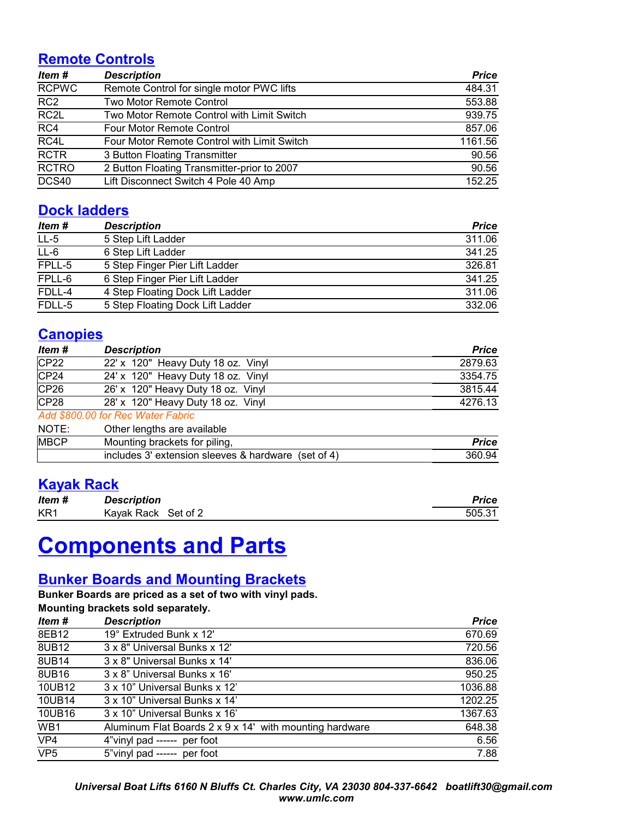### **Remote Controls**

| Item#             | <b>Description</b>                          | <b>Price</b> |
|-------------------|---------------------------------------------|--------------|
| <b>RCPWC</b>      | Remote Control for single motor PWC lifts   | 484.31       |
| RC <sub>2</sub>   | <b>Two Motor Remote Control</b>             | 553.88       |
| RC <sub>2</sub> L | Two Motor Remote Control with Limit Switch  | 939.75       |
| RC4               | <b>Four Motor Remote Control</b>            | 857.06       |
| RC4L              | Four Motor Remote Control with Limit Switch | 1161.56      |
| <b>RCTR</b>       | 3 Button Floating Transmitter               | 90.56        |
| <b>RCTRO</b>      | 2 Button Floating Transmitter-prior to 2007 | 90.56        |
| DCS40             | Lift Disconnect Switch 4 Pole 40 Amp        | 152.25       |

### **Dock ladders**

| Item #  | <b>Description</b>               | <b>Price</b> |
|---------|----------------------------------|--------------|
| $LL-5$  | 5 Step Lift Ladder               | 311.06       |
| $L - 6$ | 6 Step Lift Ladder               | 341.25       |
| FPLL-5  | 5 Step Finger Pier Lift Ladder   | 326.81       |
| FPLL-6  | 6 Step Finger Pier Lift Ladder   | 341.25       |
| FDLL-4  | 4 Step Floating Dock Lift Ladder | 311.06       |
| FDLL-5  | 5 Step Floating Dock Lift Ladder | 332.06       |

### **Canopies**

| <b>Description</b>                                  | <b>Price</b> |
|-----------------------------------------------------|--------------|
| 22' x 120" Heavy Duty 18 oz. Vinyl                  | 2879.63      |
| 24' x 120" Heavy Duty 18 oz. Vinyl                  | 3354.75      |
| 26' x 120" Heavy Duty 18 oz. Vinyl                  | 3815.44      |
| 28' x 120" Heavy Duty 18 oz. Vinyl                  | 4276.13      |
| Add \$800.00 for Rec Water Fabric                   |              |
| Other lengths are available                         |              |
| Mounting brackets for piling,                       | <b>Price</b> |
| includes 3' extension sleeves & hardware (set of 4) | 360.94       |
|                                                     |              |

### **Kayak Rack**

| Item #          | <b>Description</b>  | Price  |
|-----------------|---------------------|--------|
| KR <sub>1</sub> | Kavak Rack Set of 2 | 505.31 |

# **Components and Parts**

### **Bunker Boards and Mounting Brackets**

**Bunker Boards are priced as a set of two with vinyl pads. Mounting brackets sold separately.**

| modificing praenets sold separately. |                                                         |              |
|--------------------------------------|---------------------------------------------------------|--------------|
| Item #                               | <b>Description</b>                                      | <b>Price</b> |
| 8EB12                                | 19° Extruded Bunk x 12'                                 | 670.69       |
| 8UB12                                | 3 x 8" Universal Bunks x 12"                            | 720.56       |
| 8UB14                                | 3 x 8" Universal Bunks x 14"                            | 836.06       |
| 8UB16                                | 3 x 8" Universal Bunks x 16"                            | 950.25       |
| 10UB12                               | 3 x 10" Universal Bunks x 12"                           | 1036.88      |
| 10UB14                               | 3 x 10" Universal Bunks x 14"                           | 1202.25      |
| 10UB16                               | 3 x 10" Universal Bunks x 16"                           | 1367.63      |
| WB1                                  | Aluminum Flat Boards 2 x 9 x 14' with mounting hardware | 648.38       |
| VP4                                  | 4"vinyl pad ------ per foot                             | 6.56         |
| VP <sub>5</sub>                      | 5"vinyl pad ------ per foot                             | 7.88         |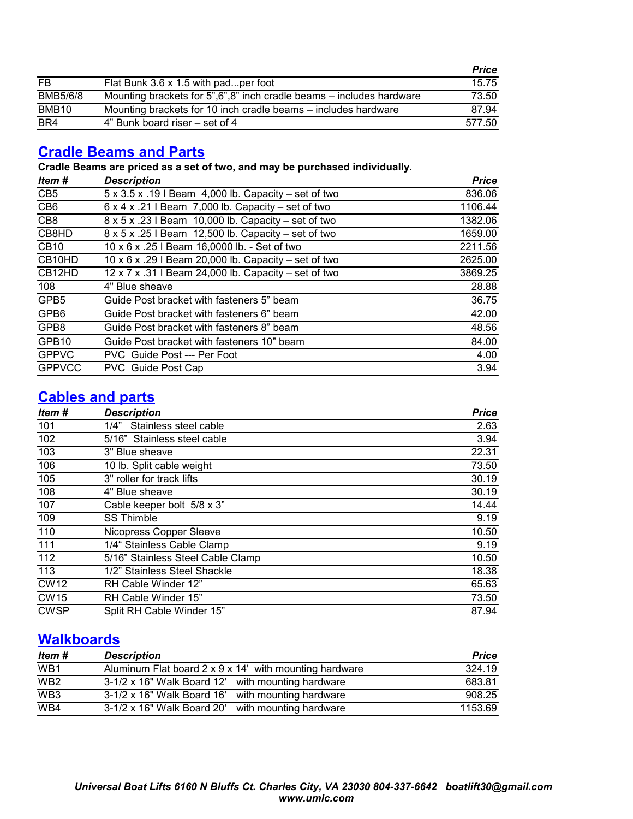|                   |                                                                      | Price  |
|-------------------|----------------------------------------------------------------------|--------|
| FB                | Flat Bunk 3.6 x 1.5 with padper foot                                 | 15.75  |
| <b>BMB5/6/8</b>   | Mounting brackets for 5",6",8" inch cradle beams – includes hardware | 73.50  |
| BMB <sub>10</sub> | Mounting brackets for 10 inch cradle beams – includes hardware       | 87.94  |
| BR4               | 4" Bunk board riser – set of 4                                       | 577.50 |

### **Cradle Beams and Parts**

**Cradle Beams are priced as a set of two, and may be purchased individually.**

| Item#           | <b>Description</b>                                              | <b>Price</b> |
|-----------------|-----------------------------------------------------------------|--------------|
| CB <sub>5</sub> | $5 \times 3.5 \times 19$ I Beam 4,000 lb. Capacity – set of two | 836.06       |
| CB <sub>6</sub> | $6 \times 4 \times .21$ I Beam 7,000 lb. Capacity – set of two  | 1106.44      |
| CB <sub>8</sub> | 8 x 5 x .23 I Beam 10,000 lb. Capacity – set of two             | 1382.06      |
| CB8HD           | 8 x 5 x .25 l Beam 12,500 lb. Capacity - set of two             | 1659.00      |
| <b>CB10</b>     | 10 x 6 x .25 I Beam 16,0000 lb. - Set of two                    | 2211.56      |
| CB10HD          | 10 x 6 x .29 I Beam 20,000 lb. Capacity – set of two            | 2625.00      |
| CB12HD          | 12 x 7 x .31 I Beam 24,000 lb. Capacity - set of two            | 3869.25      |
| 108             | 4" Blue sheave                                                  | 28.88        |
| GPB5            | Guide Post bracket with fasteners 5" beam                       | 36.75        |
| GPB6            | Guide Post bracket with fasteners 6" beam                       | 42.00        |
| GPB8            | Guide Post bracket with fasteners 8" beam                       | 48.56        |
| GPB10           | Guide Post bracket with fasteners 10" beam                      | 84.00        |
| <b>GPPVC</b>    | PVC Guide Post --- Per Foot                                     | 4.00         |
| <b>GPPVCC</b>   | PVC Guide Post Cap                                              | 3.94         |

### **Cables and parts**

| Item#       | <b>Description</b>                | <b>Price</b> |
|-------------|-----------------------------------|--------------|
| 101         | Stainless steel cable<br>1/4"     | 2.63         |
| 102         | 5/16" Stainless steel cable       | 3.94         |
| 103         | 3" Blue sheave                    | 22.31        |
| 106         | 10 lb. Split cable weight         | 73.50        |
| 105         | 3" roller for track lifts         | 30.19        |
| 108         | 4" Blue sheave                    | 30.19        |
| 107         | Cable keeper bolt 5/8 x 3"        | 14.44        |
| 109         | <b>SS Thimble</b>                 | 9.19         |
| 110         | Nicopress Copper Sleeve           | 10.50        |
| 111         | 1/4" Stainless Cable Clamp        | 9.19         |
| 112         | 5/16" Stainless Steel Cable Clamp | 10.50        |
| 113         | 1/2" Stainless Steel Shackle      | 18.38        |
| <b>CW12</b> | RH Cable Winder 12"               | 65.63        |
| <b>CW15</b> | RH Cable Winder 15"               | 73.50        |
| <b>CWSP</b> | Split RH Cable Winder 15"         | 87.94        |

### **Walkboards**

| Item #          | <b>Description</b>                                     | <b>Price</b> |
|-----------------|--------------------------------------------------------|--------------|
| WB <sub>1</sub> | Aluminum Flat board 2 x 9 x 14' with mounting hardware | 324.19       |
| WB <sub>2</sub> | 3-1/2 x 16" Walk Board 12' with mounting hardware      | 683.81       |
| WB <sub>3</sub> | 3-1/2 x 16" Walk Board 16' with mounting hardware      | 908.25       |
| WB4             | 3-1/2 x 16" Walk Board 20' with mounting hardware      | 1153.69      |